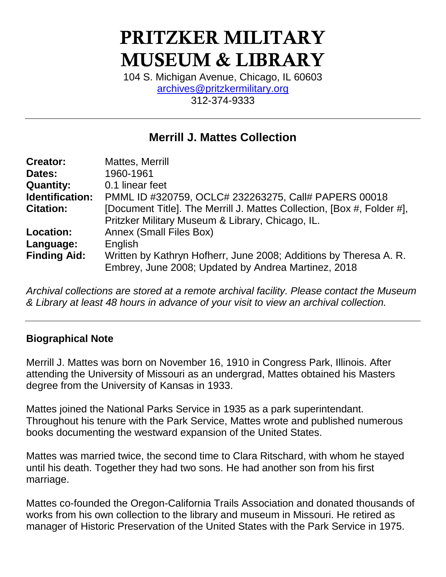# PRITZKER MILITARY MUSEUM & LIBRARY

104 S. Michigan Avenue, Chicago, IL 60603 [archives@pritzkermilitary.org](mailto:archives@pritzkermilitary.org) 312-374-9333

## **Merrill J. Mattes Collection**

| <b>Creator:</b>     | Mattes, Merrill                                                        |
|---------------------|------------------------------------------------------------------------|
| Dates:              | 1960-1961                                                              |
| <b>Quantity:</b>    | 0.1 linear feet                                                        |
| Identification:     | PMML ID #320759, OCLC# 232263275, Call# PAPERS 00018                   |
| <b>Citation:</b>    | [Document Title]. The Merrill J. Mattes Collection, [Box #, Folder #], |
|                     | Pritzker Military Museum & Library, Chicago, IL.                       |
| <b>Location:</b>    | <b>Annex (Small Files Box)</b>                                         |
| Language:           | English                                                                |
| <b>Finding Aid:</b> | Written by Kathryn Hofherr, June 2008; Additions by Theresa A. R.      |
|                     | Embrey, June 2008; Updated by Andrea Martinez, 2018                    |

*Archival collections are stored at a remote archival facility. Please contact the Museum & Library at least 48 hours in advance of your visit to view an archival collection.*

### **Biographical Note**

Merrill J. Mattes was born on November 16, 1910 in Congress Park, Illinois. After attending the University of Missouri as an undergrad, Mattes obtained his Masters degree from the University of Kansas in 1933.

Mattes joined the National Parks Service in 1935 as a park superintendant. Throughout his tenure with the Park Service, Mattes wrote and published numerous books documenting the westward expansion of the United States.

Mattes was married twice, the second time to Clara Ritschard, with whom he stayed until his death. Together they had two sons. He had another son from his first marriage.

Mattes co-founded the Oregon-California Trails Association and donated thousands of works from his own collection to the library and museum in Missouri. He retired as manager of Historic Preservation of the United States with the Park Service in 1975.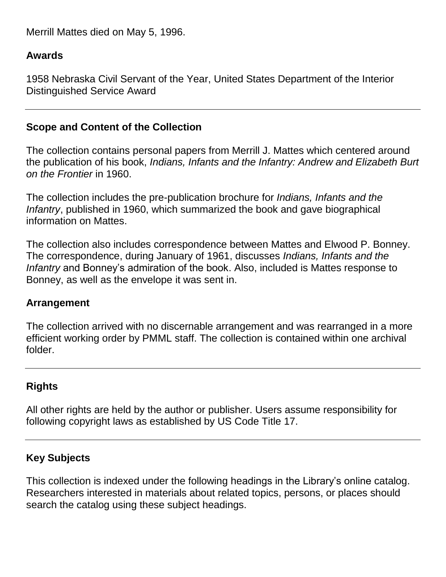Merrill Mattes died on May 5, 1996.

## **Awards**

1958 Nebraska Civil Servant of the Year, United States Department of the Interior Distinguished Service Award

## **Scope and Content of the Collection**

The collection contains personal papers from Merrill J. Mattes which centered around the publication of his book, *Indians, Infants and the Infantry: Andrew and Elizabeth Burt on the Frontier* in 1960.

The collection includes the pre-publication brochure for *Indians, Infants and the Infantry*, published in 1960, which summarized the book and gave biographical information on Mattes.

The collection also includes correspondence between Mattes and Elwood P. Bonney. The correspondence, during January of 1961, discusses *Indians, Infants and the Infantry* and Bonney's admiration of the book. Also, included is Mattes response to Bonney, as well as the envelope it was sent in.

### **Arrangement**

The collection arrived with no discernable arrangement and was rearranged in a more efficient working order by PMML staff. The collection is contained within one archival folder.

## **Rights**

All other rights are held by the author or publisher. Users assume responsibility for following copyright laws as established by US Code Title 17.

### **Key Subjects**

This collection is indexed under the following headings in the Library's online catalog. Researchers interested in materials about related topics, persons, or places should search the catalog using these subject headings.